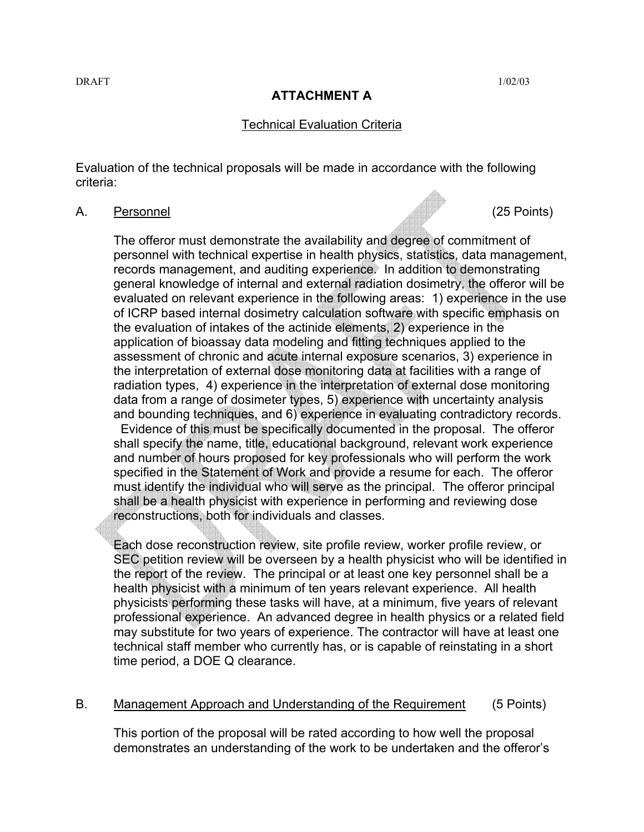## **ATTACHMENT A**

### Technical Evaluation Criteria

Evaluation of the technical proposals will be made in accordance with the following criteria:

#### A. Personnel (25 Points)

The offeror must demonstrate the availability and degree of commitment of personnel with technical expertise in health physics, statistics, data management, records management, and auditing experience. In addition to demonstrating general knowledge of internal and external radiation dosimetry, the offeror will be evaluated on relevant experience in the following areas: 1) experience in the use of ICRP based internal dosimetry calculation software with specific emphasis on the evaluation of intakes of the actinide elements, 2) experience in the application of bioassay data modeling and fitting techniques applied to the assessment of chronic and acute internal exposure scenarios, 3) experience in the interpretation of external dose monitoring data at facilities with a range of radiation types, 4) experience in the interpretation of external dose monitoring data from a range of dosimeter types, 5) experience with uncertainty analysis and bounding techniques, and 6) experience in evaluating contradictory records.

 Evidence of this must be specifically documented in the proposal. The offeror shall specify the name, title, educational background, relevant work experience and number of hours proposed for key professionals who will perform the work specified in the Statement of Work and provide a resume for each. The offeror must identify the individual who will serve as the principal. The offeror principal shall be a health physicist with experience in performing and reviewing dose reconstructions, both for individuals and classes.

Each dose reconstruction review, site profile review, worker profile review, or SEC petition review will be overseen by a health physicist who will be identified in the report of the review. The principal or at least one key personnel shall be a health physicist with a minimum of ten years relevant experience. All health physicists performing these tasks will have, at a minimum, five years of relevant professional experience. An advanced degree in health physics or a related field may substitute for two years of experience. The contractor will have at least one technical staff member who currently has, or is capable of reinstating in a short time period, a DOE Q clearance.

#### B. Management Approach and Understanding of the Requirement (5 Points)

This portion of the proposal will be rated according to how well the proposal demonstrates an understanding of the work to be undertaken and the offeror's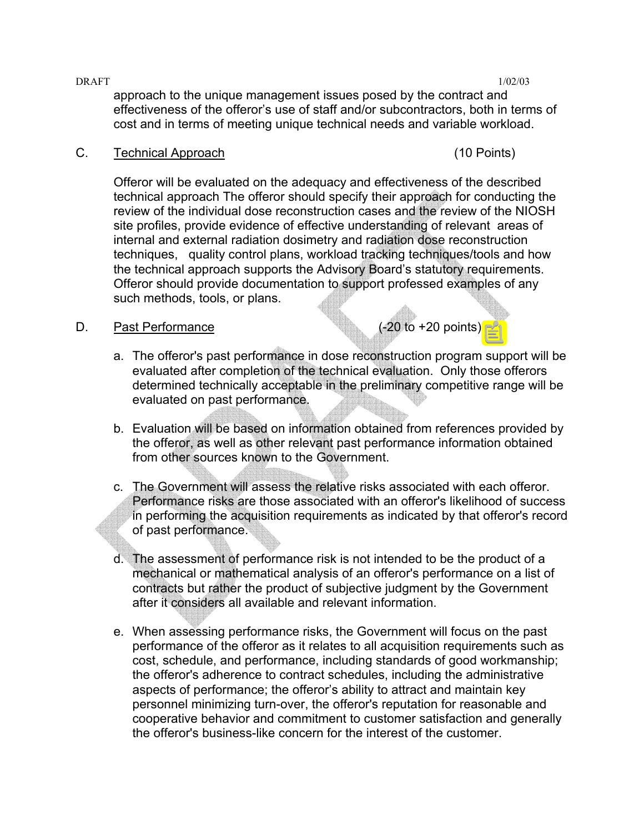$\text{DRAFT}$  1/02/03 approach to the unique management issues posed by the contract and effectiveness of the offeror's use of staff and/or subcontractors, both in terms of cost and in terms of meeting unique technical needs and variable workload.

## C. Technical Approach (10 Points)

Offeror will be evaluated on the adequacy and effectiveness of the described technical approach The offeror should specify their approach for conducting the review of the individual dose reconstruction cases and the review of the NIOSH site profiles, provide evidence of effective understanding of relevant areas of internal and external radiation dosimetry and radiation dose reconstruction techniques, quality control plans, workload tracking techniques/tools and how the technical approach supports the Advisory Board's statutory requirements. Offeror should provide documentation to support professed examples of any such methods, tools, or plans.

## D. Past Performance (-20 to +20 points)

- a. The offeror's past performance in dose reconstruction program support will be evaluated after completion of the technical evaluation. Only those offerors determined technically acceptable in the preliminary competitive range will be evaluated on past performance.
- b. Evaluation will be based on information obtained from references provided by the offeror, as well as other relevant past performance information obtained from other sources known to the Government.
- c. The Government will assess the relative risks associated with each offeror. Performance risks are those associated with an offeror's likelihood of success in performing the acquisition requirements as indicated by that offeror's record of past performance.
- d. The assessment of performance risk is not intended to be the product of a mechanical or mathematical analysis of an offeror's performance on a list of contracts but rather the product of subjective judgment by the Government after it considers all available and relevant information.
- e. When assessing performance risks, the Government will focus on the past performance of the offeror as it relates to all acquisition requirements such as cost, schedule, and performance, including standards of good workmanship; the offeror's adherence to contract schedules, including the administrative aspects of performance; the offeror's ability to attract and maintain key personnel minimizing turn-over, the offeror's reputation for reasonable and cooperative behavior and commitment to customer satisfaction and generally the offeror's business-like concern for the interest of the customer.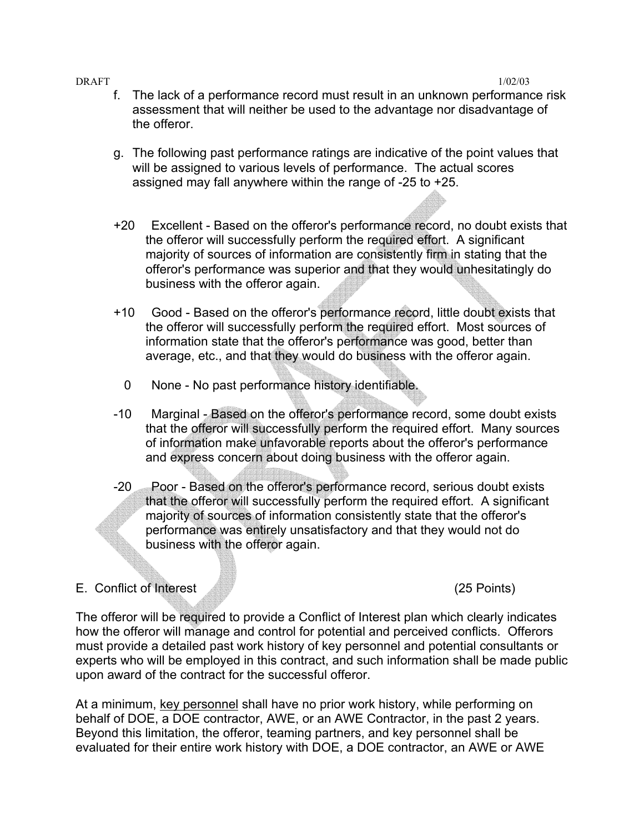#### $\text{DRAFT}$  1/02/03

- f. The lack of a performance record must result in an unknown performance risk assessment that will neither be used to the advantage nor disadvantage of the offeror.
- g. The following past performance ratings are indicative of the point values that will be assigned to various levels of performance. The actual scores assigned may fall anywhere within the range of -25 to +25.
- +20 Excellent Based on the offeror's performance record, no doubt exists that the offeror will successfully perform the required effort. A significant majority of sources of information are consistently firm in stating that the offeror's performance was superior and that they would unhesitatingly do business with the offeror again.
- +10 Good Based on the offeror's performance record, little doubt exists that the offeror will successfully perform the required effort. Most sources of information state that the offeror's performance was good, better than average, etc., and that they would do business with the offeror again.
	- 0 None No past performance history identifiable.
- -10 Marginal Based on the offeror's performance record, some doubt exists that the offeror will successfully perform the required effort. Many sources of information make unfavorable reports about the offeror's performance and express concern about doing business with the offeror again.
- -20 Poor Based on the offeror's performance record, serious doubt exists that the offeror will successfully perform the required effort. A significant majority of sources of information consistently state that the offeror's performance was entirely unsatisfactory and that they would not do business with the offeror again.

# E. Conflict of Interest (25 Points)

The offeror will be required to provide a Conflict of Interest plan which clearly indicates how the offeror will manage and control for potential and perceived conflicts. Offerors must provide a detailed past work history of key personnel and potential consultants or experts who will be employed in this contract, and such information shall be made public upon award of the contract for the successful offeror.

At a minimum, key personnel shall have no prior work history, while performing on behalf of DOE, a DOE contractor, AWE, or an AWE Contractor, in the past 2 years. Beyond this limitation, the offeror, teaming partners, and key personnel shall be evaluated for their entire work history with DOE, a DOE contractor, an AWE or AWE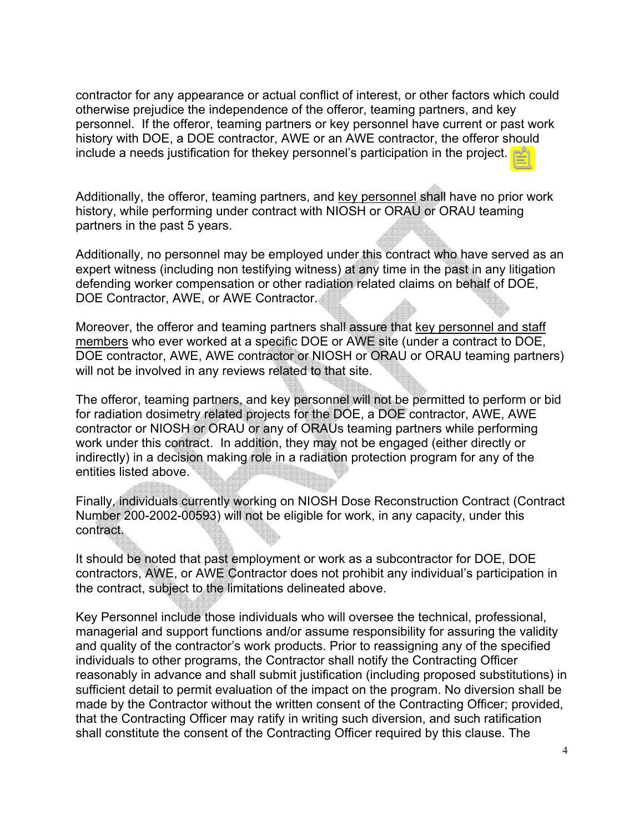contractor for any appearance or actual conflict of interest, or other factors which could otherwise prejudice the independence of the offeror, teaming partners, and key personnel. If the offeror, teaming partners or key personnel have current or past work history with DOE, a DOE contractor, AWE or an AWE contractor, the offeror should include a needs justification for thekey personnel's participation in the project.

Additionally, the offeror, teaming partners, and key personnel shall have no prior work history, while performing under contract with NIOSH or ORAU or ORAU teaming partners in the past 5 years.

Additionally, no personnel may be employed under this contract who have served as an expert witness (including non testifying witness) at any time in the past in any litigation defending worker compensation or other radiation related claims on behalf of DOE, DOE Contractor, AWE, or AWE Contractor.

Moreover, the offeror and teaming partners shall assure that key personnel and staff members who ever worked at a specific DOE or AWE site (under a contract to DOE, DOE contractor, AWE, AWE contractor or NIOSH or ORAU or ORAU teaming partners) will not be involved in any reviews related to that site.

The offeror, teaming partners, and key personnel will not be permitted to perform or bid for radiation dosimetry related projects for the DOE, a DOE contractor, AWE, AWE contractor or NIOSH or ORAU or any of ORAUs teaming partners while performing work under this contract. In addition, they may not be engaged (either directly or indirectly) in a decision making role in a radiation protection program for any of the entities listed above.

Finally, individuals currently working on NIOSH Dose Reconstruction Contract (Contract Number 200-2002-00593) will not be eligible for work, in any capacity, under this contract.

It should be noted that past employment or work as a subcontractor for DOE, DOE contractors, AWE, or AWE Contractor does not prohibit any individual's participation in the contract, subject to the limitations delineated above.

Key Personnel include those individuals who will oversee the technical, professional, managerial and support functions and/or assume responsibility for assuring the validity and quality of the contractor's work products. Prior to reassigning any of the specified individuals to other programs, the Contractor shall notify the Contracting Officer reasonably in advance and shall submit justification (including proposed substitutions) in sufficient detail to permit evaluation of the impact on the program. No diversion shall be made by the Contractor without the written consent of the Contracting Officer; provided, that the Contracting Officer may ratify in writing such diversion, and such ratification shall constitute the consent of the Contracting Officer required by this clause. The